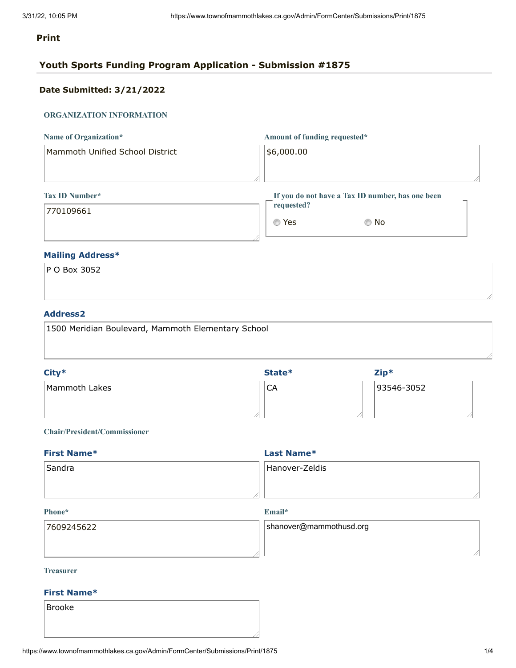# **Print**

# **Youth Sports Funding Program Application - Submission #1875**

# **Date Submitted: 3/21/2022**

# **ORGANIZATION INFORMATION**

| Name of Organization*           | Amount of funding requested*                     |  |
|---------------------------------|--------------------------------------------------|--|
| Mammoth Unified School District | \$6,000.00                                       |  |
|                                 |                                                  |  |
|                                 |                                                  |  |
| Tax ID Number*                  | If you do not have a Tax ID number, has one been |  |

770109661

| If you do not have a Tax ID number, has one been |      |
|--------------------------------------------------|------|
| requested?                                       |      |
|                                                  |      |
| © Yes                                            | © No |

# **Mailing Address\***

| P O Box 3052 |  |  |
|--------------|--|--|
|              |  |  |
|              |  |  |

# **Address2**

| 1500 Meridian Boulevard, Mammoth Elementary School |  |
|----------------------------------------------------|--|
|                                                    |  |
|                                                    |  |

| $City*$       | State*    | $Zip*$     |
|---------------|-----------|------------|
| Mammoth Lakes | <b>CA</b> | 93546-3052 |
|               |           |            |

# **Chair/President/Commissioner**

| <b>First Name*</b> | Last Name*     |  |  |
|--------------------|----------------|--|--|
| Sandra             | Hanover-Zeldis |  |  |
|                    |                |  |  |
|                    |                |  |  |

#### **Phone\***

**Email\***

| 17609245622 | shanover@mammothusd.org |
|-------------|-------------------------|
|             |                         |
|             |                         |

## **Treasurer**

## **First Name\***

Brooke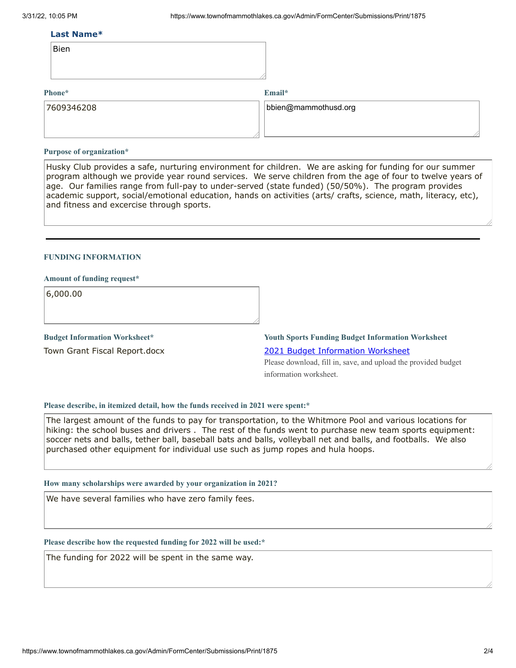#### **Last Name\***

| Bien |
|------|
|      |

### **Phone\***

**Email\***

| 7609346208 | $\vert$ bbien@mammothusd.org |
|------------|------------------------------|
|            |                              |
|            |                              |

#### **Purpose of organization\***

Husky Club provides a safe, nurturing environment for children. We are asking for funding for our summer program although we provide year round services. We serve children from the age of four to twelve years of age. Our families range from full-pay to under-served (state funded) (50/50%). The program provides academic support, social/emotional education, hands on activities (arts/ crafts, science, math, literacy, etc), and fitness and excercise through sports.

## **FUNDING INFORMATION**

### **Amount of funding request\***

6,000.00

**Budget Information Worksheet\***

Town Grant Fiscal Report.docx

**Youth Sports Funding Budget Information Worksheet** 2021 Budget [Information](https://www.townofmammothlakes.ca.gov/DocumentCenter/View/11932/2021-Youth-Sports-Funding-Budget-Information-Template) Worksheet

Please download, fill in, save, and upload the provided budget information worksheet.

#### **Please describe, in itemized detail, how the funds received in 2021 were spent:\***

The largest amount of the funds to pay for transportation, to the Whitmore Pool and various locations for hiking: the school buses and drivers . The rest of the funds went to purchase new team sports equipment: soccer nets and balls, tether ball, baseball bats and balls, volleyball net and balls, and footballs. We also purchased other equipment for individual use such as jump ropes and hula hoops.

#### **How many scholarships were awarded by your organization in 2021?**

We have several families who have zero family fees.

#### **Please describe how the requested funding for 2022 will be used:\***

The funding for 2022 will be spent in the same way.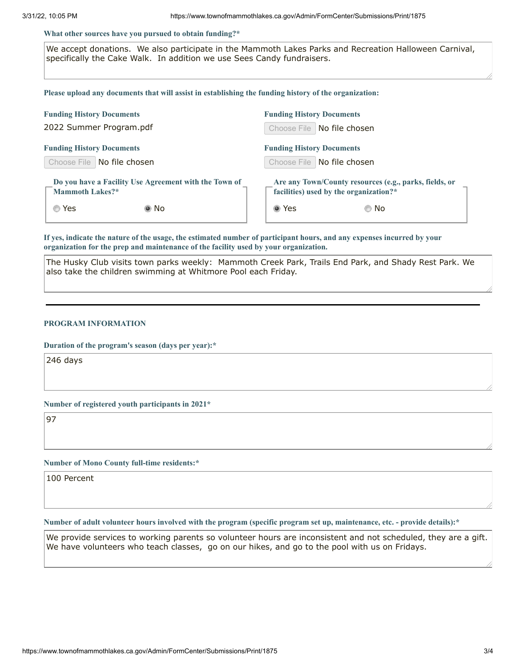#### **What other sources have you pursued to obtain funding?\***

We accept donations. We also participate in the Mammoth Lakes Parks and Recreation Halloween Carnival, specifically the Cake Walk. In addition we use Sees Candy fundraisers.

**Please upload any documents that will assist in establishing the funding history of the organization:**

| <b>Funding History Documents</b>                                                | <b>Funding History Documents</b>                                                                 |  |  |  |
|---------------------------------------------------------------------------------|--------------------------------------------------------------------------------------------------|--|--|--|
| 2022 Summer Program.pdf                                                         | Choose File   No file chosen                                                                     |  |  |  |
| <b>Funding History Documents</b>                                                | <b>Funding History Documents</b>                                                                 |  |  |  |
| Choose File   No file chosen                                                    | Choose File   No file chosen                                                                     |  |  |  |
| Do you have a Facility Use Agreement with the Town of<br><b>Mammoth Lakes?*</b> | Are any Town/County resources (e.g., parks, fields, or<br>facilities) used by the organization?* |  |  |  |
| ◎ Yes<br>◉ No                                                                   | ◉ Yes<br>© No                                                                                    |  |  |  |

If yes, indicate the nature of the usage, the estimated number of participant hours, and any expenses incurred by your **organization for the prep and maintenance of the facility used by your organization.**

The Husky Club visits town parks weekly: Mammoth Creek Park, Trails End Park, and Shady Rest Park. We also take the children swimming at Whitmore Pool each Friday.

#### **PROGRAM INFORMATION**

**Duration of the program's season (days per year):\***

246 days

**Number of registered youth participants in 2021\***

97

**Number of Mono County full-time residents:\***

100 Percent

Number of adult volunteer hours involved with the program (specific program set up, maintenance, etc. - provide details):\*

We provide services to working parents so volunteer hours are inconsistent and not scheduled, they are a gift. We have volunteers who teach classes, go on our hikes, and go to the pool with us on Fridays.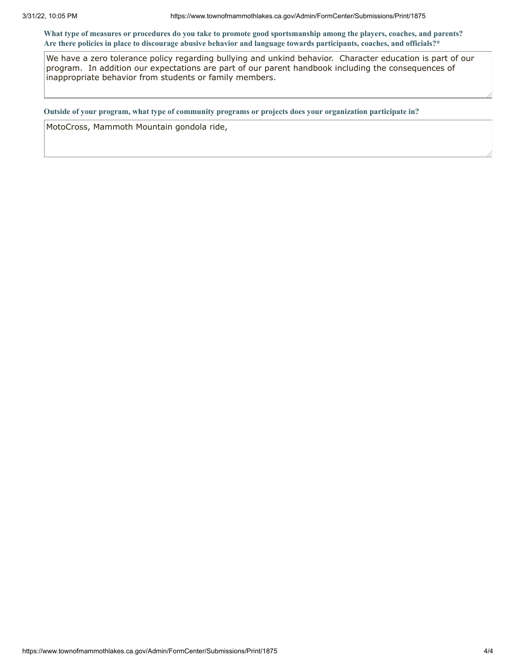What type of measures or procedures do you take to promote good sportsmanship among the players, coaches, and parents? Are there policies in place to discourage abusive behavior and language towards participants, coaches, and officials?\*

We have a zero tolerance policy regarding bullying and unkind behavior. Character education is part of our program. In addition our expectations are part of our parent handbook including the consequences of inappropriate behavior from students or family members.

**Outside of your program, what type of community programs or projects does your organization participate in?**

MotoCross, Mammoth Mountain gondola ride,